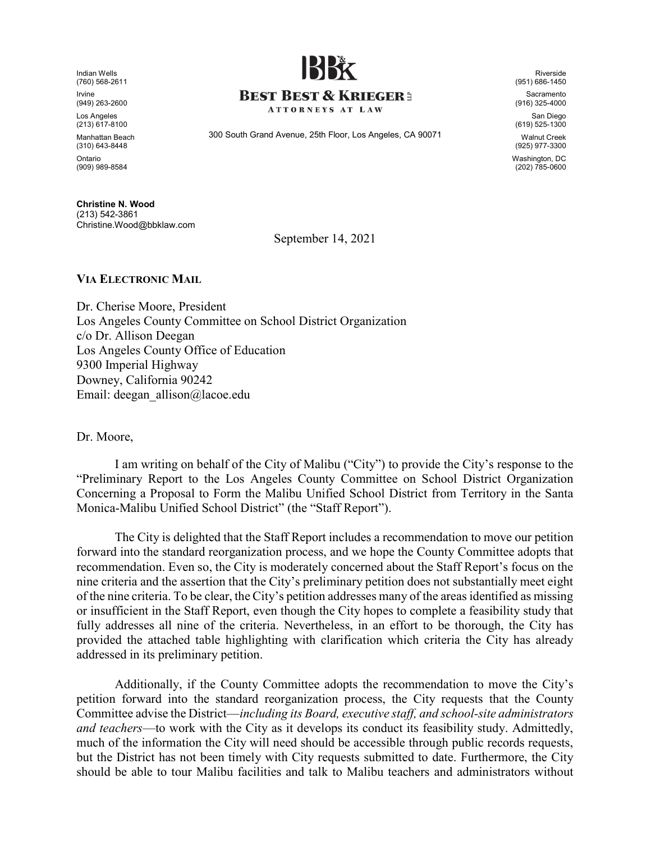Indian Wells (760) 568-2611 Irvine (949) 263-2600

Los Angeles (213) 617-8100

Manhattan Beach

(310) 643-8448 Ontario (909) 989-8584

 Christine.Wood@bbklaw.com Christine N. Wood (213) 542-3861



### **BEST BEST & KRIEGER:**

**ATTORNEYS AT LAW** 

300 South Grand Avenue, 25th Floor, Los Angeles, CA 90071

Riverside (951) 686-1450

Sacramento (916) 325-4000

San Diego (619) 525-1300

Walnut Creek (925) 977-3300 Washington, DC (202) 785-0600

September 14, 2021

#### VIA ELECTRONIC MAIL

Dr. Cherise Moore, President Los Angeles County Committee on School District Organization c/o Dr. Allison Deegan Los Angeles County Office of Education 9300 Imperial Highway Downey, California 90242 Email: deegan\_allison@lacoe.edu

Dr. Moore,

I am writing on behalf of the City of Malibu ("City") to provide the City's response to the "Preliminary Report to the Los Angeles County Committee on School District Organization Concerning a Proposal to Form the Malibu Unified School District from Territory in the Santa Monica-Malibu Unified School District" (the "Staff Report").

The City is delighted that the Staff Report includes a recommendation to move our petition forward into the standard reorganization process, and we hope the County Committee adopts that recommendation. Even so, the City is moderately concerned about the Staff Report's focus on the nine criteria and the assertion that the City's preliminary petition does not substantially meet eight of the nine criteria. To be clear, the City's petition addresses many of the areas identified as missing or insufficient in the Staff Report, even though the City hopes to complete a feasibility study that fully addresses all nine of the criteria. Nevertheless, in an effort to be thorough, the City has provided the attached table highlighting with clarification which criteria the City has already addressed in its preliminary petition.

Additionally, if the County Committee adopts the recommendation to move the City's petition forward into the standard reorganization process, the City requests that the County Committee advise the District—including its Board, executive staff, and school-site administrators and teachers—to work with the City as it develops its conduct its feasibility study. Admittedly, much of the information the City will need should be accessible through public records requests, but the District has not been timely with City requests submitted to date. Furthermore, the City should be able to tour Malibu facilities and talk to Malibu teachers and administrators without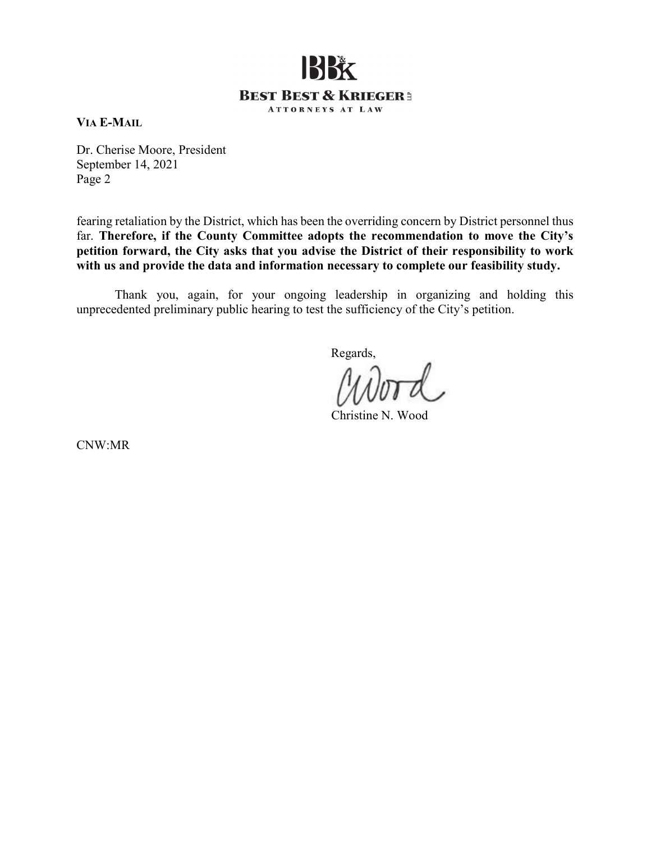# BBk **BEST BEST & KRIEGER:** ATTORNEYS AT LAW

VIA E-MAIL

Dr. Cherise Moore, President September 14, 2021 Page 2

fearing retaliation by the District, which has been the overriding concern by District personnel thus far. Therefore, if the County Committee adopts the recommendation to move the City's petition forward, the City asks that you advise the District of their responsibility to work with us and provide the data and information necessary to complete our feasibility study.

Thank you, again, for your ongoing leadership in organizing and holding this unprecedented preliminary public hearing to test the sufficiency of the City's petition.

Regards,

Christine N. Wood

CNW:MR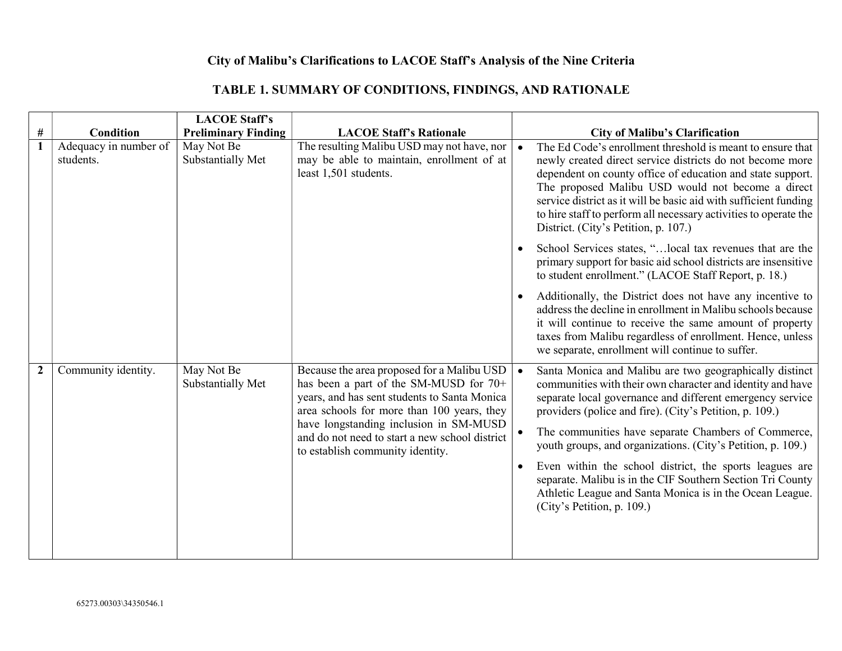## City of Malibu's Clarifications to LACOE Staff's Analysis of the Nine Criteria

### TABLE 1. SUMMARY OF CONDITIONS, FINDINGS, AND RATIONALE

|              |                                    | <b>LACOE Staff's</b>            |                                                                                                                                                                                                                                                                                                                    |                               |                                                                                                                                                                                                                                                                                                                                                                                                                                                                                                                                                                                        |
|--------------|------------------------------------|---------------------------------|--------------------------------------------------------------------------------------------------------------------------------------------------------------------------------------------------------------------------------------------------------------------------------------------------------------------|-------------------------------|----------------------------------------------------------------------------------------------------------------------------------------------------------------------------------------------------------------------------------------------------------------------------------------------------------------------------------------------------------------------------------------------------------------------------------------------------------------------------------------------------------------------------------------------------------------------------------------|
| #            | Condition                          | <b>Preliminary Finding</b>      | <b>LACOE Staff's Rationale</b>                                                                                                                                                                                                                                                                                     |                               | <b>City of Malibu's Clarification</b>                                                                                                                                                                                                                                                                                                                                                                                                                                                                                                                                                  |
| $\mathbf{1}$ | Adequacy in number of<br>students. | May Not Be<br>Substantially Met | The resulting Malibu USD may not have, nor<br>may be able to maintain, enrollment of at<br>least 1,501 students.                                                                                                                                                                                                   | $\bullet$                     | The Ed Code's enrollment threshold is meant to ensure that<br>newly created direct service districts do not become more<br>dependent on county office of education and state support.<br>The proposed Malibu USD would not become a direct<br>service district as it will be basic aid with sufficient funding<br>to hire staff to perform all necessary activities to operate the<br>District. (City's Petition, p. 107.)                                                                                                                                                             |
|              |                                    |                                 |                                                                                                                                                                                                                                                                                                                    |                               | School Services states, " local tax revenues that are the<br>primary support for basic aid school districts are insensitive<br>to student enrollment." (LACOE Staff Report, p. 18.)                                                                                                                                                                                                                                                                                                                                                                                                    |
|              |                                    |                                 |                                                                                                                                                                                                                                                                                                                    | $\bullet$                     | Additionally, the District does not have any incentive to<br>address the decline in enrollment in Malibu schools because<br>it will continue to receive the same amount of property<br>taxes from Malibu regardless of enrollment. Hence, unless<br>we separate, enrollment will continue to suffer.                                                                                                                                                                                                                                                                                   |
| $\mathbf{2}$ | Community identity.                | May Not Be<br>Substantially Met | Because the area proposed for a Malibu USD<br>has been a part of the SM-MUSD for 70+<br>years, and has sent students to Santa Monica<br>area schools for more than 100 years, they<br>have longstanding inclusion in SM-MUSD<br>and do not need to start a new school district<br>to establish community identity. | • ا<br>$\bullet$<br>$\bullet$ | Santa Monica and Malibu are two geographically distinct<br>communities with their own character and identity and have<br>separate local governance and different emergency service<br>providers (police and fire). (City's Petition, p. 109.)<br>The communities have separate Chambers of Commerce,<br>youth groups, and organizations. (City's Petition, p. 109.)<br>Even within the school district, the sports leagues are<br>separate. Malibu is in the CIF Southern Section Tri County<br>Athletic League and Santa Monica is in the Ocean League.<br>(City's Petition, p. 109.) |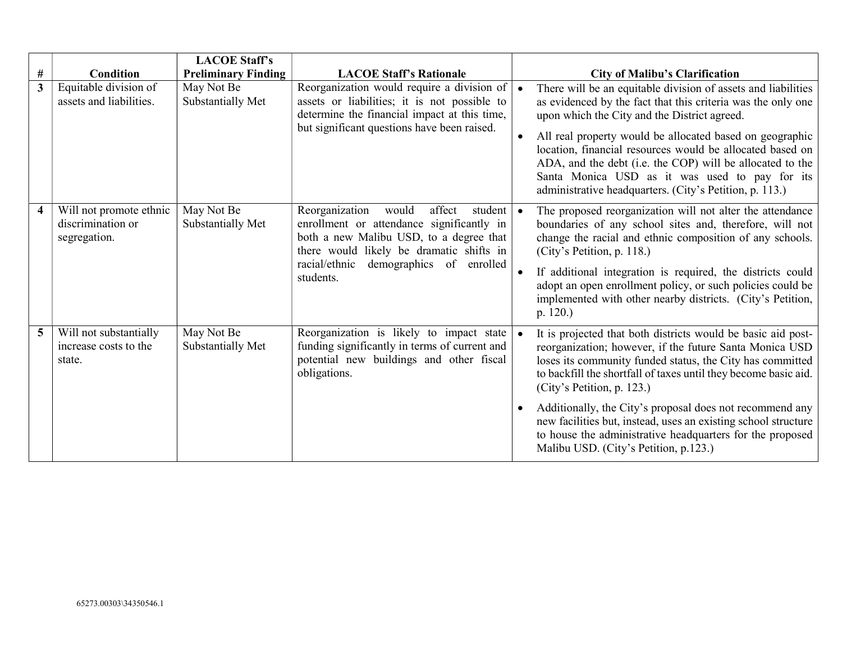|                |                                                              | <b>LACOE Staff's</b>            |                                                                                                                                                                                                                                                      |           |                                                                                                                                                                                                                                                                                                                                                                                                                                                                                                                           |
|----------------|--------------------------------------------------------------|---------------------------------|------------------------------------------------------------------------------------------------------------------------------------------------------------------------------------------------------------------------------------------------------|-----------|---------------------------------------------------------------------------------------------------------------------------------------------------------------------------------------------------------------------------------------------------------------------------------------------------------------------------------------------------------------------------------------------------------------------------------------------------------------------------------------------------------------------------|
| #              | <b>Condition</b>                                             | <b>Preliminary Finding</b>      | <b>LACOE Staff's Rationale</b>                                                                                                                                                                                                                       |           | <b>City of Malibu's Clarification</b>                                                                                                                                                                                                                                                                                                                                                                                                                                                                                     |
| 3 <sup>1</sup> | Equitable division of<br>assets and liabilities.             | May Not Be<br>Substantially Met | Reorganization would require a division of $\vert$<br>assets or liabilities; it is not possible to<br>determine the financial impact at this time,<br>but significant questions have been raised.                                                    | $\bullet$ | There will be an equitable division of assets and liabilities<br>as evidenced by the fact that this criteria was the only one<br>upon which the City and the District agreed.<br>All real property would be allocated based on geographic<br>location, financial resources would be allocated based on<br>ADA, and the debt (i.e. the COP) will be allocated to the<br>Santa Monica USD as it was used to pay for its<br>administrative headquarters. (City's Petition, p. 113.)                                          |
| 4              | Will not promote ethnic<br>discrimination or<br>segregation. | May Not Be<br>Substantially Met | Reorganization<br>affect<br>would<br>student $\bullet$<br>enrollment or attendance significantly in<br>both a new Malibu USD, to a degree that<br>there would likely be dramatic shifts in<br>racial/ethnic<br>demographics of enrolled<br>students. | $\bullet$ | The proposed reorganization will not alter the attendance<br>boundaries of any school sites and, therefore, will not<br>change the racial and ethnic composition of any schools.<br>(City's Petition, p. 118.)<br>If additional integration is required, the districts could<br>adopt an open enrollment policy, or such policies could be<br>implemented with other nearby districts. (City's Petition,<br>p. 120.                                                                                                       |
| 5              | Will not substantially<br>increase costs to the<br>state.    | May Not Be<br>Substantially Met | Reorganization is likely to impact state $\bullet$<br>funding significantly in terms of current and<br>potential new buildings and other fiscal<br>obligations.                                                                                      |           | It is projected that both districts would be basic aid post-<br>reorganization; however, if the future Santa Monica USD<br>loses its community funded status, the City has committed<br>to backfill the shortfall of taxes until they become basic aid.<br>(City's Petition, p. 123.)<br>Additionally, the City's proposal does not recommend any<br>new facilities but, instead, uses an existing school structure<br>to house the administrative headquarters for the proposed<br>Malibu USD. (City's Petition, p.123.) |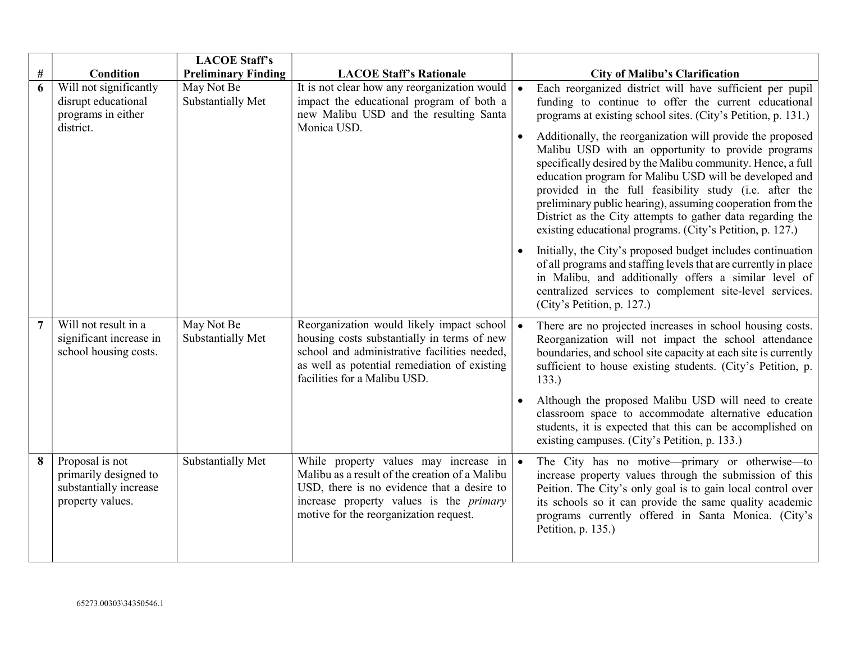|      |                                                                                        | <b>LACOE Staff's</b>            |                                                                                                                                                                                                                                             |           |                                                                                                                                                                                                                                                                                                                                                                                                                                                                                              |
|------|----------------------------------------------------------------------------------------|---------------------------------|---------------------------------------------------------------------------------------------------------------------------------------------------------------------------------------------------------------------------------------------|-----------|----------------------------------------------------------------------------------------------------------------------------------------------------------------------------------------------------------------------------------------------------------------------------------------------------------------------------------------------------------------------------------------------------------------------------------------------------------------------------------------------|
| $\#$ | <b>Condition</b>                                                                       | <b>Preliminary Finding</b>      | <b>LACOE Staff's Rationale</b>                                                                                                                                                                                                              |           | <b>City of Malibu's Clarification</b>                                                                                                                                                                                                                                                                                                                                                                                                                                                        |
| 6    | Will not significantly<br>disrupt educational<br>programs in either                    | May Not Be<br>Substantially Met | It is not clear how any reorganization would $\vert \bullet$<br>impact the educational program of both a<br>new Malibu USD and the resulting Santa<br>Monica USD.                                                                           |           | Each reorganized district will have sufficient per pupil<br>funding to continue to offer the current educational<br>programs at existing school sites. (City's Petition, p. 131.)                                                                                                                                                                                                                                                                                                            |
|      | district.                                                                              |                                 |                                                                                                                                                                                                                                             | $\bullet$ | Additionally, the reorganization will provide the proposed<br>Malibu USD with an opportunity to provide programs<br>specifically desired by the Malibu community. Hence, a full<br>education program for Malibu USD will be developed and<br>provided in the full feasibility study (i.e. after the<br>preliminary public hearing), assuming cooperation from the<br>District as the City attempts to gather data regarding the<br>existing educational programs. (City's Petition, p. 127.) |
|      |                                                                                        |                                 |                                                                                                                                                                                                                                             |           | Initially, the City's proposed budget includes continuation<br>of all programs and staffing levels that are currently in place<br>in Malibu, and additionally offers a similar level of<br>centralized services to complement site-level services.<br>(City's Petition, p. 127.)                                                                                                                                                                                                             |
|      | Will not result in a<br>significant increase in<br>school housing costs.               | May Not Be<br>Substantially Met | Reorganization would likely impact school   •<br>housing costs substantially in terms of new<br>school and administrative facilities needed,<br>as well as potential remediation of existing<br>facilities for a Malibu USD.                |           | There are no projected increases in school housing costs.<br>Reorganization will not impact the school attendance<br>boundaries, and school site capacity at each site is currently<br>sufficient to house existing students. (City's Petition, p.<br>133.)                                                                                                                                                                                                                                  |
|      |                                                                                        |                                 |                                                                                                                                                                                                                                             |           | Although the proposed Malibu USD will need to create<br>classroom space to accommodate alternative education<br>students, it is expected that this can be accomplished on<br>existing campuses. (City's Petition, p. 133.)                                                                                                                                                                                                                                                                   |
| 8    | Proposal is not<br>primarily designed to<br>substantially increase<br>property values. | Substantially Met               | While property values may increase in $\bullet$<br>Malibu as a result of the creation of a Malibu<br>USD, there is no evidence that a desire to<br>increase property values is the <i>primary</i><br>motive for the reorganization request. |           | The City has no motive-primary or otherwise-to<br>increase property values through the submission of this<br>Peition. The City's only goal is to gain local control over<br>its schools so it can provide the same quality academic<br>programs currently offered in Santa Monica. (City's<br>Petition, p. 135.)                                                                                                                                                                             |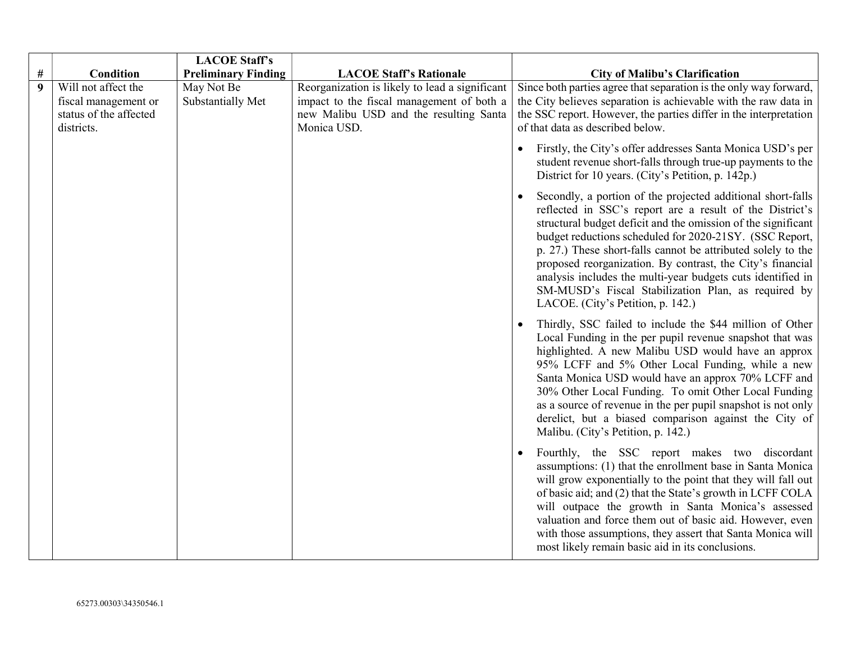|                  |                                                                                     | <b>LACOE Staff's</b>            |                                                                                                                                                      |                                                                                                                                                                                                                                                                                                                                                                                                                                                                                                                                              |
|------------------|-------------------------------------------------------------------------------------|---------------------------------|------------------------------------------------------------------------------------------------------------------------------------------------------|----------------------------------------------------------------------------------------------------------------------------------------------------------------------------------------------------------------------------------------------------------------------------------------------------------------------------------------------------------------------------------------------------------------------------------------------------------------------------------------------------------------------------------------------|
| #                | Condition                                                                           | <b>Preliminary Finding</b>      | <b>LACOE Staff's Rationale</b>                                                                                                                       | <b>City of Malibu's Clarification</b>                                                                                                                                                                                                                                                                                                                                                                                                                                                                                                        |
| $\boldsymbol{9}$ | Will not affect the<br>fiscal management or<br>status of the affected<br>districts. | May Not Be<br>Substantially Met | Reorganization is likely to lead a significant<br>impact to the fiscal management of both a<br>new Malibu USD and the resulting Santa<br>Monica USD. | Since both parties agree that separation is the only way forward,<br>the City believes separation is achievable with the raw data in<br>the SSC report. However, the parties differ in the interpretation<br>of that data as described below.                                                                                                                                                                                                                                                                                                |
|                  |                                                                                     |                                 |                                                                                                                                                      | Firstly, the City's offer addresses Santa Monica USD's per<br>student revenue short-falls through true-up payments to the<br>District for 10 years. (City's Petition, p. 142p.)                                                                                                                                                                                                                                                                                                                                                              |
|                  |                                                                                     |                                 |                                                                                                                                                      | Secondly, a portion of the projected additional short-falls<br>reflected in SSC's report are a result of the District's<br>structural budget deficit and the omission of the significant<br>budget reductions scheduled for 2020-21SY. (SSC Report,<br>p. 27.) These short-falls cannot be attributed solely to the<br>proposed reorganization. By contrast, the City's financial<br>analysis includes the multi-year budgets cuts identified in<br>SM-MUSD's Fiscal Stabilization Plan, as required by<br>LACOE. (City's Petition, p. 142.) |
|                  |                                                                                     |                                 |                                                                                                                                                      | Thirdly, SSC failed to include the \$44 million of Other<br>Local Funding in the per pupil revenue snapshot that was<br>highlighted. A new Malibu USD would have an approx<br>95% LCFF and 5% Other Local Funding, while a new<br>Santa Monica USD would have an approx 70% LCFF and<br>30% Other Local Funding. To omit Other Local Funding<br>as a source of revenue in the per pupil snapshot is not only<br>derelict, but a biased comparison against the City of<br>Malibu. (City's Petition, p. 142.)                                  |
|                  |                                                                                     |                                 |                                                                                                                                                      | Fourthly, the SSC report makes two discordant<br>assumptions: (1) that the enrollment base in Santa Monica<br>will grow exponentially to the point that they will fall out<br>of basic aid; and (2) that the State's growth in LCFF COLA<br>will outpace the growth in Santa Monica's assessed<br>valuation and force them out of basic aid. However, even<br>with those assumptions, they assert that Santa Monica will<br>most likely remain basic aid in its conclusions.                                                                 |